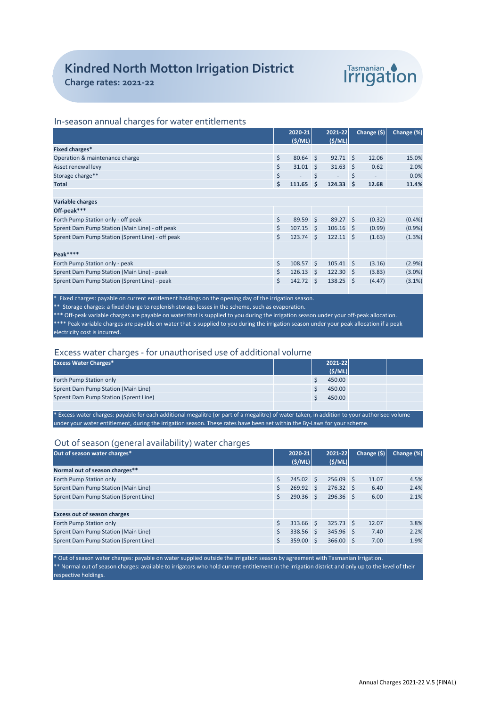

# **Charge rates: 2021-22**

## In-season annual charges for water entitlements

|                                                  |    | 2020-21           |        | 2021-22           |              | Change $(5)$ | Change (%) |
|--------------------------------------------------|----|-------------------|--------|-------------------|--------------|--------------|------------|
|                                                  |    | (S/ML)            |        | (S/ML)            |              |              |            |
| Fixed charges*                                   |    |                   |        |                   |              |              |            |
| Operation & maintenance charge                   | \$ | $80.64$ \$        |        | 92.71             | $\mathsf{S}$ | 12.06        | 15.0%      |
| Asset renewal levy                               | \$ | $31.01 \quad$ \$  |        | 31.63             | S.           | 0.62         | 2.0%       |
| Storage charge**                                 | \$ |                   | Š.     |                   | \$           |              | 0.0%       |
| <b>Total</b>                                     | \$ | 111.65            | $\sim$ | 124.33            | Ŝ.           | 12.68        | 11.4%      |
|                                                  |    |                   |        |                   |              |              |            |
| <b>Variable charges</b>                          |    |                   |        |                   |              |              |            |
| Off-peak***                                      |    |                   |        |                   |              |              |            |
| Forth Pump Station only - off peak               | \$ | $89.59$ \$        |        | 89.27 \$          |              | (0.32)       | $(0.4\%)$  |
| Sprent Dam Pump Station (Main Line) - off peak   | \$ | $107.15$ \$       |        | $106.16$ \$       |              | (0.99)       | $(0.9\%)$  |
| Sprent Dam Pump Station (Sprent Line) - off peak | Ś. | $123.74 \quad S$  |        | $122.11$ \$       |              | (1.63)       | (1.3%)     |
|                                                  |    |                   |        |                   |              |              |            |
| Peak****                                         |    |                   |        |                   |              |              |            |
| Forth Pump Station only - peak                   | \$ | $108.57$ \$       |        | $105.41 \quad$ \$ |              | (3.16)       | (2.9%)     |
| Sprent Dam Pump Station (Main Line) - peak       | \$ | $126.13 \quad $$  |        | $122.30 \quad$ \$ |              | (3.83)       | $(3.0\%)$  |
| Sprent Dam Pump Station (Sprent Line) - peak     | Ś. | $142.72 \quad$ \$ |        | $138.25$ \$       |              | (4.47)       | $(3.1\%)$  |
|                                                  |    |                   |        |                   |              |              |            |

 $*$  Fixed charges: payable on current entitlement holdings on the opening day of the irrigation season.

\*\* Storage charges: a fixed charge to replenish storage losses in the scheme, such as evaporation.

\*\*\* Off-peak variable charges are payable on water that is supplied to you during the irrigation season under your off-peak allocation. \*\*\*\* Peak variable charges are payable on water that is supplied to you during the irrigation season under your peak allocation if a peak electricity cost is incurred.

## Excess water charges - for unauthorised use of additional volume

| <b>Excess Water Charges*</b>                                                                                                                 |  |  | 2021-22 |  |  |  |
|----------------------------------------------------------------------------------------------------------------------------------------------|--|--|---------|--|--|--|
|                                                                                                                                              |  |  | (S/ML)  |  |  |  |
| Forth Pump Station only                                                                                                                      |  |  | 450.00  |  |  |  |
| Sprent Dam Pump Station (Main Line)                                                                                                          |  |  | 450.00  |  |  |  |
| Sprent Dam Pump Station (Sprent Line)                                                                                                        |  |  | 450.00  |  |  |  |
|                                                                                                                                              |  |  |         |  |  |  |
| * Excess water charges: payable for each additional megalitre (or part of a megalitre) of water taken, in addition to your authorised volume |  |  |         |  |  |  |

under your water entitlement, during the irrigation season. These rates have been set within the By-Laws for your scheme.

### Out of season (general availability) water charges

| Out of season water charges*          | 2020-21                | 2021-22          | Change $(5)$ | Change (%) |
|---------------------------------------|------------------------|------------------|--------------|------------|
|                                       | (S/ML)                 | (S/ML)           |              |            |
| Normal out of season charges**        |                        |                  |              |            |
| Forth Pump Station only               | \$<br>$245.02 \quad S$ | 256.09           | 11.07<br>∣\$ | 4.5%       |
| Sprent Dam Pump Station (Main Line)   | $269.92 \quad S$       | $276.32 \quad S$ | 6.40         | 2.4%       |
| Sprent Dam Pump Station (Sprent Line) | $290.36$ \$            | $296.36$ \$      | 6.00         | 2.1%       |
|                                       |                        |                  |              |            |
| <b>Excess out of season charges</b>   |                        |                  |              |            |
| Forth Pump Station only               | $313.66$ \$            | $325.73$ \$      | 12.07        | 3.8%       |
| Sprent Dam Pump Station (Main Line)   | 338.56 \$              | 345.96 \$        | 7.40         | 2.2%       |
| Sprent Dam Pump Station (Sprent Line) | $359.00$ \$            | $366.00$ \$      | 7.00         | 1.9%       |
|                                       |                        |                  |              |            |

\* Out of season water charges: payable on water supplied outside the irrigation season by agreement with Tasmanian Irrigation. \*\* Normal out of season charges: available to irrigators who hold current entitlement in the irrigation district and only up to the level of their respective holdings.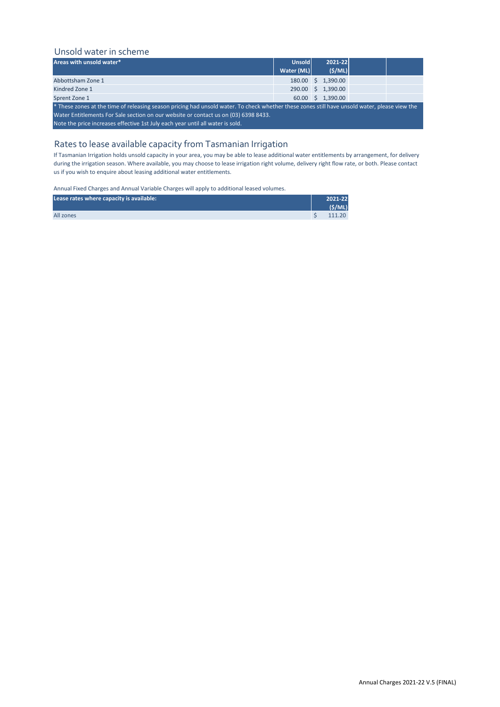# Unsold water in scheme

| Areas with unsold water*                                                                                                                      | <b>Unsold</b> |  | $2021 - 22$        |  |  |  |  |
|-----------------------------------------------------------------------------------------------------------------------------------------------|---------------|--|--------------------|--|--|--|--|
|                                                                                                                                               | Water (ML)    |  | (S/ML)             |  |  |  |  |
| Abbottsham Zone 1                                                                                                                             |               |  | 180.00 \$ 1,390.00 |  |  |  |  |
| Kindred Zone 1                                                                                                                                |               |  | 290.00 \$ 1,390.00 |  |  |  |  |
| Sprent Zone 1                                                                                                                                 |               |  | 60.00 \$ 1.390.00  |  |  |  |  |
| * These zones at the time of releasing season pricing had unsold water. To check whether these zones still have unsold water, please view the |               |  |                    |  |  |  |  |
| Water Entitlements For Sale section on our website or contact us on (03) 6398 8433.                                                           |               |  |                    |  |  |  |  |
| Note the price increases effective 1st July each year until all water is sold.                                                                |               |  |                    |  |  |  |  |

# Rates to lease available capacity from Tasmanian Irrigation

If Tasmanian Irrigation holds unsold capacity in your area, you may be able to lease additional water entitlements by arrangement, for delivery during the irrigation season. Where available, you may choose to lease irrigation right volume, delivery right flow rate, or both. Please contact us if you wish to enquire about leasing additional water entitlements.

Annual Fixed Charges and Annual Variable Charges will apply to additional leased volumes.

| Lease rates where capacity is available: | 2021-22 |
|------------------------------------------|---------|
|                                          | (S/ML)  |
| All zones                                | 111.20  |